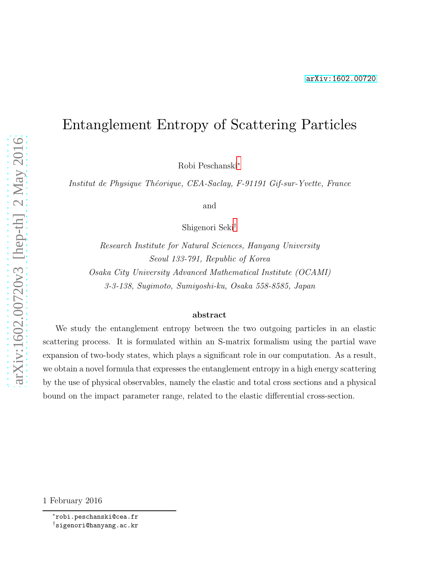# Entanglement Entropy of Scattering Particles

Robi Peschanski[∗](#page-0-0)

Institut de Physique Théorique, CEA-Saclay, F-91191 Gif-sur-Yvette, France

and

Shigenori Seki[†](#page-0-1)

Research Institute for Natural Sciences, Hanyang University Seoul 133-791, Republic of Korea Osaka City University Advanced Mathematical Institute (OCAMI) 3-3-138, Sugimoto, Sumiyoshi-ku, Osaka 558-8585, Japan

#### abstract

We study the entanglement entropy between the two outgoing particles in an elastic scattering process. It is formulated within an S-matrix formalism using the partial wave expansion of two-body states, which plays a significant role in our computation. As a result, we obtain a novel formula that expresses the entanglement entropy in a high energy scattering by the use of physical observables, namely the elastic and total cross sections and a physical bound on the impact parameter range, related to the elastic differential cross-section.

<sup>1</sup> February 2016

<span id="page-0-1"></span><span id="page-0-0"></span><sup>∗</sup>robi.peschanski@cea.fr †sigenori@hanyang.ac.kr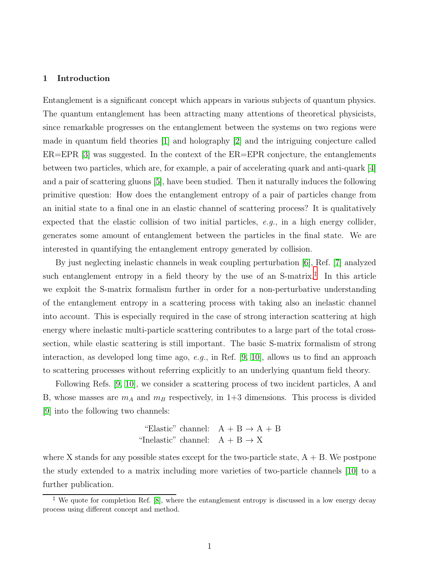#### 1 Introduction

Entanglement is a significant concept which appears in various subjects of quantum physics. The quantum entanglement has been attracting many attentions of theoretical physicists, since remarkable progresses on the entanglement between the systems on two regions were made in quantum field theories [\[1\]](#page-9-0) and holography [\[2\]](#page-9-1) and the intriguing conjecture called  $ER=EPR$  [\[3\]](#page-9-2) was suggested. In the context of the  $ER=EPR$  conjecture, the entanglements between two particles, which are, for example, a pair of accelerating quark and anti-quark [\[4\]](#page-9-3) and a pair of scattering gluons [\[5\]](#page-9-4), have been studied. Then it naturally induces the following primitive question: How does the entanglement entropy of a pair of particles change from an initial state to a final one in an elastic channel of scattering process? It is qualitatively expected that the elastic collision of two initial particles,  $e.g.,$  in a high energy collider, generates some amount of entanglement between the particles in the final state. We are interested in quantifying the entanglement entropy generated by collision.

By just neglecting inelastic channels in weak coupling perturbation [\[6\]](#page-9-5), Ref. [\[7\]](#page-9-6) analyzed such entanglement entropy in a field theory by the use of an  $S$ -matrix.<sup>[‡](#page-1-0)</sup> In this article we exploit the S-matrix formalism further in order for a non-perturbative understanding of the entanglement entropy in a scattering process with taking also an inelastic channel into account. This is especially required in the case of strong interaction scattering at high energy where inelastic multi-particle scattering contributes to a large part of the total crosssection, while elastic scattering is still important. The basic S-matrix formalism of strong interaction, as developed long time ago,  $e.g.,$  in Ref. [\[9,](#page-10-0) [10\]](#page-10-1), allows us to find an approach to scattering processes without referring explicitly to an underlying quantum field theory.

Following Refs. [\[9,](#page-10-0) [10\]](#page-10-1), we consider a scattering process of two incident particles, A and B, whose masses are  $m_A$  and  $m_B$  respectively, in 1+3 dimensions. This process is divided [\[9\]](#page-10-0) into the following two channels:

> "Elastic" channel:  $A + B \rightarrow A + B$ "Inelastic" channel:  $A + B \rightarrow X$

where X stands for any possible states except for the two-particle state,  $A + B$ . We postpone the study extended to a matrix including more varieties of two-particle channels [\[10\]](#page-10-1) to a further publication.

<span id="page-1-0"></span><sup>‡</sup> We quote for completion Ref. [\[8\]](#page-9-7), where the entanglement entropy is discussed in a low energy decay process using different concept and method.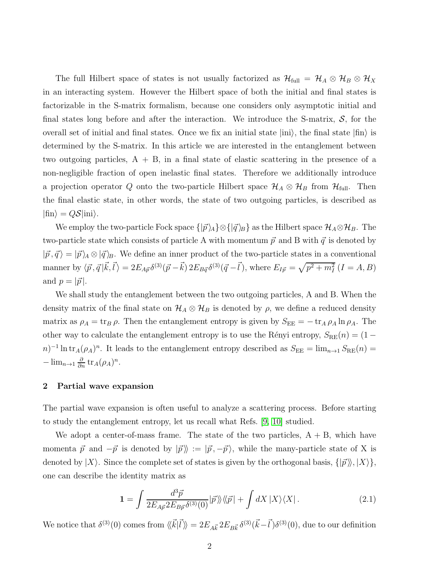The full Hilbert space of states is not usually factorized as  $\mathcal{H}_{full} = \mathcal{H}_A \otimes \mathcal{H}_B \otimes \mathcal{H}_X$ in an interacting system. However the Hilbert space of both the initial and final states is factorizable in the S-matrix formalism, because one considers only asymptotic initial and final states long before and after the interaction. We introduce the S-matrix,  $S$ , for the overall set of initial and final states. Once we fix an initial state  $|in\rangle$ , the final state  $|fin\rangle$  is determined by the S-matrix. In this article we are interested in the entanglement between two outgoing particles,  $A + B$ , in a final state of elastic scattering in the presence of a non-negligible fraction of open inelastic final states. Therefore we additionally introduce a projection operator Q onto the two-particle Hilbert space  $\mathcal{H}_A \otimes \mathcal{H}_B$  from  $\mathcal{H}_{full}$ . Then the final elastic state, in other words, the state of two outgoing particles, is described as  $|\text{fin}\rangle = Q\mathcal{S}|\text{ini}\rangle.$ 

We employ the two-particle Fock space  $\{|\vec{p}\rangle_A\}\otimes\{|\vec{q}\rangle_B\}$  as the Hilbert space  $\mathcal{H}_A\otimes\mathcal{H}_B$ . The two-particle state which consists of particle A with momentum  $\vec{p}$  and B with  $\vec{q}$  is denoted by  $|~\vec{p}, \vec{q}~\rangle = |~\vec{p}~\rangle_A \otimes |~\vec{q}~\rangle_B$ . We define an inner product of the two-particle states in a conventional manner by  $\langle \vec{p}, \vec{q} | \vec{k}, \vec{l} \rangle = 2E_{A\vec{p}} \delta^{(3)}(\vec{p} - \vec{k}) 2E_{B\vec{q}} \delta^{(3)}(\vec{q} - \vec{l})$ , where  $E_{I\vec{p}} = \sqrt{p^2 + m_I^2} (I = A, B)$ and  $p = |\vec{p}|$ .

We shall study the entanglement between the two outgoing particles, A and B. When the density matrix of the final state on  $\mathcal{H}_A \otimes \mathcal{H}_B$  is denoted by  $\rho$ , we define a reduced density matrix as  $\rho_A = \text{tr}_B \rho$ . Then the entanglement entropy is given by  $S_{EE} = -\text{tr}_A \rho_A \ln \rho_A$ . The other way to calculate the entanglement entropy is to use the Rényi entropy,  $S_{RE}(n) = (1 (n)^{-1} \ln \text{tr}_A(\rho_A)^n$ . It leads to the entanglement entropy described as  $S_{\text{EE}} = \lim_{n\to 1} S_{\text{RE}}(n) =$  $-\lim_{n\to 1}\frac{\partial}{\partial n}\operatorname{tr}_A(\rho_A)^n.$ 

#### 2 Partial wave expansion

The partial wave expansion is often useful to analyze a scattering process. Before starting to study the entanglement entropy, let us recall what Refs. [\[9,](#page-10-0) [10\]](#page-10-1) studied.

We adopt a center-of-mass frame. The state of the two particles,  $A + B$ , which have momenta  $\vec{p}$  and  $-\vec{p}$  is denoted by  $|\vec{p}\rangle\rangle := |\vec{p}, -\vec{p}\rangle$ , while the many-particle state of X is denoted by  $|X\rangle$ . Since the complete set of states is given by the orthogonal basis,  $\{|\vec{p}\rangle\rangle, |X\rangle\},\$ one can describe the identity matrix as

$$
\mathbf{1} = \int \frac{d^3 \vec{p}}{2E_{A\vec{p}} 2E_{B\vec{p}} \delta^{(3)}(0)} |\vec{p}\rangle\langle\!\langle \vec{p}| + \int dX \, |X\rangle\langle X| \,. \tag{2.1}
$$

We notice that  $\delta^{(3)}(0)$  comes from  $\langle \vec{k} | \vec{l} \rangle = 2E_{A\vec{k}} 2E_{B\vec{k}} \delta^{(3)}(\vec{k} - \vec{l}) \delta^{(3)}(0)$ , due to our definition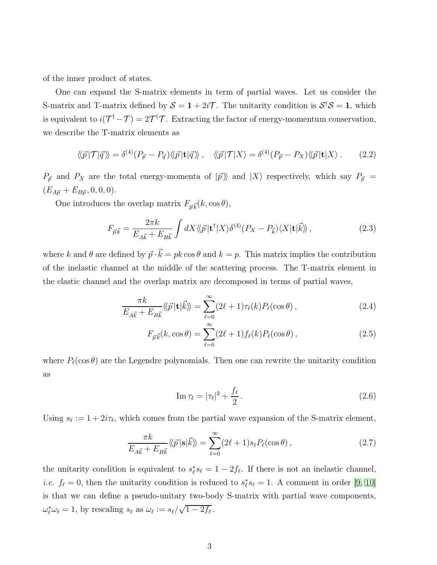of the inner product of states.

One can expand the S-matrix elements in term of partial waves. Let us consider the S-matrix and T-matrix defined by  $S = 1 + 2i\mathcal{T}$ . The unitarity condition is  $S^{\dagger}S = 1$ , which is equivalent to  $i(\mathcal{T}^{\dagger} - \mathcal{T}) = 2\mathcal{T}^{\dagger}\mathcal{T}$ . Extracting the factor of energy-momentum conservation, we describe the T-matrix elements as

$$
\langle\!\langle \vec{p} | \mathcal{T} | \vec{q} \rangle\!\rangle = \delta^{(4)}(P_{\vec{p}} - P_{\vec{q}}) \langle\!\langle \vec{p} | \mathbf{t} | \vec{q} \rangle\!\rangle, \quad \langle\!\langle \vec{p} | \mathcal{T} | X \rangle = \delta^{(4)}(P_{\vec{p}} - P_X) \langle\!\langle \vec{p} | \mathbf{t} | X \rangle. \tag{2.2}
$$

 $P_{\vec{p}}$  and  $P_X$  are the total energy-momenta of  $|\vec{p} \rangle\!\rangle$  and  $|X\rangle$  respectively, which say  $P_{\vec{p}}$  =  $(E_{A\vec{p}} + E_{B\vec{p}}, 0, 0, 0).$ 

One introduces the overlap matrix  $F_{\vec{p}\vec{k}}(k,\cos\theta)$ ,

$$
F_{\vec{p}\vec{k}} = \frac{2\pi k}{E_{A\vec{k}} + E_{B\vec{k}}} \int dX \langle\!\langle \vec{p} | \mathbf{t}^\dagger | X \rangle \delta^{(4)}(P_X - P_{\vec{k}}) \langle X | \mathbf{t} | \vec{k} \rangle\!\rangle, \tag{2.3}
$$

where k and  $\theta$  are defined by  $\vec{p} \cdot \vec{k} = pk \cos \theta$  and  $k = p$ . This matrix implies the contribution of the inelastic channel at the middle of the scattering process. The T-matrix element in the elastic channel and the overlap matrix are decomposed in terms of partial waves,

$$
\frac{\pi k}{E_{A\vec{k}} + E_{B\vec{k}}} \langle \vec{p} | \mathbf{t} | \vec{k} \rangle = \sum_{\ell=0}^{\infty} (2\ell + 1) \tau_{\ell}(k) P_{\ell}(\cos \theta) , \qquad (2.4)
$$

$$
F_{\vec{p}\vec{k}}(k,\cos\theta) = \sum_{\ell=0}^{\infty} (2\ell+1) f_{\ell}(k) P_{\ell}(\cos\theta), \qquad (2.5)
$$

where  $P_{\ell}(\cos \theta)$  are the Legendre polynomials. Then one can rewrite the unitarity condition as

<span id="page-3-1"></span><span id="page-3-0"></span>
$$
\operatorname{Im}\tau_{\ell} = |\tau_{\ell}|^2 + \frac{f_{\ell}}{2}.
$$
\n(2.6)

Using  $s_{\ell} := 1 + 2i\tau_{\ell}$ , which comes from the partial wave expansion of the S-matrix element,

$$
\frac{\pi k}{E_{A\vec{k}} + E_{B\vec{k}}} \langle \langle \vec{p} | \mathbf{s} | \vec{k} \rangle \rangle = \sum_{\ell=0}^{\infty} (2\ell + 1) s_{\ell} P_{\ell}(\cos \theta) , \qquad (2.7)
$$

the unitarity condition is equivalent to  $s_{\ell}^* s_{\ell} = 1 - 2f_{\ell}$ . If there is not an inelastic channel, *i.e.*  $f_{\ell} = 0$ , then the unitarity condition is reduced to  $s_{\ell}^* s_{\ell} = 1$ . A comment in order [\[9,](#page-10-0) [10\]](#page-10-1) is that we can define a pseudo-unitary two-body S-matrix with partial wave components,  $\omega_{\ell}^* \omega_{\ell} = 1$ , by rescaling  $s_{\ell}$  as  $\omega_{\ell} := s_{\ell}/\sqrt{1 - 2f_{\ell}}$ .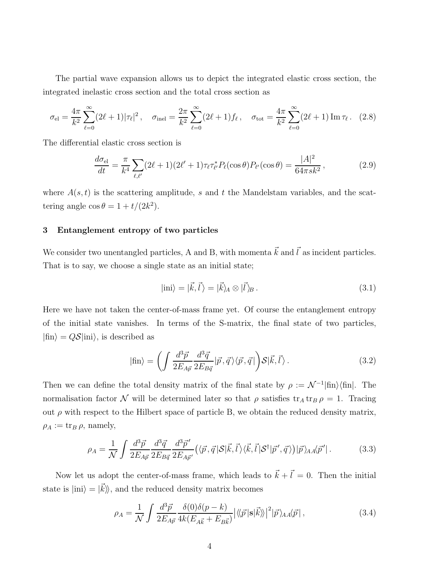The partial wave expansion allows us to depict the integrated elastic cross section, the integrated inelastic cross section and the total cross section as

$$
\sigma_{\rm el} = \frac{4\pi}{k^2} \sum_{\ell=0}^{\infty} (2\ell+1) |\tau_{\ell}|^2, \quad \sigma_{\rm inel} = \frac{2\pi}{k^2} \sum_{\ell=0}^{\infty} (2\ell+1) f_{\ell}, \quad \sigma_{\rm tot} = \frac{4\pi}{k^2} \sum_{\ell=0}^{\infty} (2\ell+1) \operatorname{Im} \tau_{\ell}. \quad (2.8)
$$

The differential elastic cross section is

$$
\frac{d\sigma_{\rm el}}{dt} = \frac{\pi}{k^4} \sum_{\ell,\ell'} (2\ell+1)(2\ell'+1)\tau_{\ell}\tau_{\ell'}^{*} P_{\ell}(\cos\theta) P_{\ell'}(\cos\theta) = \frac{|A|^2}{64\pi s k^2},\tag{2.9}
$$

where  $A(s, t)$  is the scattering amplitude, s and t the Mandelstam variables, and the scattering angle  $\cos \theta = 1 + t/(2k^2)$ .

## 3 Entanglement entropy of two particles

We consider two unentangled particles, A and B, with momenta  $\vec{k}$  and  $\vec{l}$  as incident particles. That is to say, we choose a single state as an initial state;

<span id="page-4-3"></span><span id="page-4-2"></span><span id="page-4-1"></span>
$$
|\text{ini}\rangle = |\vec{k}, \vec{l}\rangle = |\vec{k}\rangle_A \otimes |\vec{l}\rangle_B. \tag{3.1}
$$

Here we have not taken the center-of-mass frame yet. Of course the entanglement entropy of the initial state vanishes. In terms of the S-matrix, the final state of two particles,  $|\text{fin}\rangle = Q\mathcal{S}|\text{ini}\rangle$ , is described as

$$
|\text{fin}\rangle = \left(\int \frac{d^3 \vec{p}}{2E_{A\vec{p}}} \frac{d^3 \vec{q}}{2E_{B\vec{q}}} |\vec{p}, \vec{q}\rangle \langle \vec{p}, \vec{q}| \right) \mathcal{S} |\vec{k}, \vec{l}\rangle. \tag{3.2}
$$

Then we can define the total density matrix of the final state by  $\rho := \mathcal{N}^{-1}|\text{fin}\rangle\langle\text{fin}|$ . The normalisation factor  $\mathcal N$  will be determined later so that  $\rho$  satisfies  $\operatorname{tr}_A \operatorname{tr}_B \rho = 1$ . Tracing out  $\rho$  with respect to the Hilbert space of particle B, we obtain the reduced density matrix,  $\rho_A := \text{tr}_B \rho$ , namely,

$$
\rho_A = \frac{1}{\mathcal{N}} \int \frac{d^3 \vec{p}}{2E_{A\vec{p}}} \frac{d^3 \vec{q}}{2E_{B\vec{q}}} \frac{d^3 \vec{p}'}{2E_{A\vec{p}'}} \left( \langle \vec{p}, \vec{q} | \mathcal{S} | \vec{k}, \vec{l} \rangle \langle \vec{k}, \vec{l} | \mathcal{S}^\dagger | \vec{p}', \vec{q} \rangle \right) |\vec{p}\rangle_{AA} \langle \vec{p}'| \,. \tag{3.3}
$$

Now let us adopt the center-of-mass frame, which leads to  $\vec{k} + \vec{l} = 0$ . Then the initial state is  $|\text{ini}\rangle = |\vec{k}\rangle$ , and the reduced density matrix becomes

<span id="page-4-0"></span>
$$
\rho_A = \frac{1}{\mathcal{N}} \int \frac{d^3 \vec{p}}{2E_{A\vec{p}}} \frac{\delta(0)\delta(p-k)}{4k(E_{A\vec{k}} + E_{B\vec{k}})} |\langle \langle \vec{p} | \mathbf{s} | \vec{k} \rangle \rangle|^2 |\vec{p}\rangle_A \langle \vec{p}| \,, \tag{3.4}
$$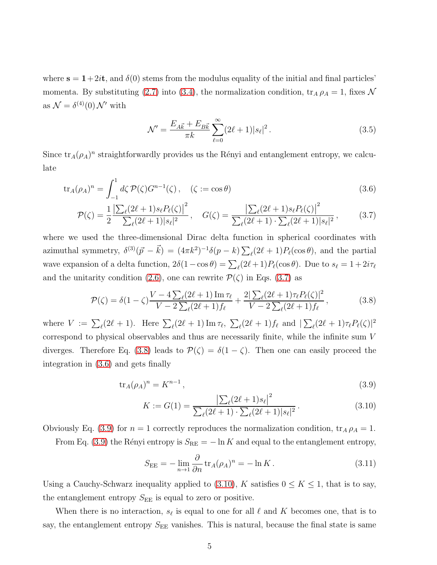where  $s = 1+2it$ , and  $\delta(0)$  stems from the modulus equality of the initial and final particles' momenta. By substituting [\(2.7\)](#page-3-0) into [\(3.4\)](#page-4-0), the normalization condition,  $\text{tr}_A \rho_A = 1$ , fixes  $\mathcal N$ as  $\mathcal{N} = \delta^{(4)}(0) \mathcal{N}'$  with

<span id="page-5-2"></span><span id="page-5-0"></span>
$$
\mathcal{N}' = \frac{E_{A\vec{k}} + E_{B\vec{k}}}{\pi k} \sum_{\ell=0}^{\infty} (2\ell + 1) |s_{\ell}|^2.
$$
 (3.5)

Since  $\text{tr}_A(\rho_A)^n$  straightforwardly provides us the Rényi and entanglement entropy, we calculate

$$
\text{tr}_A(\rho_A)^n = \int_{-1}^1 d\zeta \, \mathcal{P}(\zeta) G^{n-1}(\zeta) \,, \quad (\zeta := \cos \theta) \tag{3.6}
$$

$$
\mathcal{P}(\zeta) = \frac{1}{2} \frac{\left| \sum_{\ell} (2\ell + 1) s_{\ell} P_{\ell}(\zeta) \right|^{2}}{\sum_{\ell} (2\ell + 1) |s_{\ell}|^{2}}, \quad G(\zeta) = \frac{\left| \sum_{\ell} (2\ell + 1) s_{\ell} P_{\ell}(\zeta) \right|^{2}}{\sum_{\ell} (2\ell + 1) \cdot \sum_{\ell} (2\ell + 1) |s_{\ell}|^{2}}, \quad (3.7)
$$

where we used the three-dimensional Dirac delta function in spherical coordinates with azimuthal symmetry,  $\delta^{(3)}(\vec{p} - \vec{k}) = (4\pi k^2)^{-1} \delta(p - k) \sum_{\ell} (2\ell + 1) P_{\ell}(\cos \theta)$ , and the partial wave expansion of a delta function,  $2\delta(1-\cos\theta) = \sum_{\ell}(2\ell+1)P_{\ell}(\cos\theta)$ . Due to  $s_{\ell} = 1 + 2i\tau_{\ell}$ and the unitarity condition [\(2.6\)](#page-3-1), one can rewrite  $\mathcal{P}(\zeta)$  in Eqs. [\(3.7\)](#page-5-0) as

$$
\mathcal{P}(\zeta) = \delta(1-\zeta)\frac{V - 4\sum_{\ell}(2\ell+1)\operatorname{Im}\tau_{\ell}}{V - 2\sum_{\ell}(2\ell+1)f_{\ell}} + \frac{2|\sum_{\ell}(2\ell+1)\tau_{\ell}P_{\ell}(\zeta)|^2}{V - 2\sum_{\ell}(2\ell+1)f_{\ell}},
$$
(3.8)

where  $V := \sum_{\ell} (2\ell + 1)$ . Here  $\sum_{\ell} (2\ell + 1) \operatorname{Im} \tau_{\ell}$ ,  $\sum_{\ell} (2\ell + 1) f_{\ell}$  and  $|\sum_{\ell} (2\ell + 1) \tau_{\ell} P_{\ell}(\zeta)|^2$ correspond to physical observables and thus are necessarily finite, while the infinite sum V diverges. Therefore Eq. [\(3.8\)](#page-5-1) leads to  $\mathcal{P}(\zeta) = \delta(1-\zeta)$ . Then one can easily proceed the integration in [\(3.6\)](#page-5-2) and gets finally

$$
\operatorname{tr}_A(\rho_A)^n = K^{n-1},\tag{3.9}
$$

<span id="page-5-4"></span><span id="page-5-3"></span><span id="page-5-1"></span>
$$
K := G(1) = \frac{\left|\sum_{\ell} (2\ell + 1)s_{\ell}\right|^{2}}{\sum_{\ell} (2\ell + 1) \cdot \sum_{\ell} (2\ell + 1)|s_{\ell}|^{2}}.
$$
\n(3.10)

Obviously Eq. [\(3.9\)](#page-5-3) for  $n = 1$  correctly reproduces the normalization condition,  $\text{tr}_A \rho_A = 1$ .

From Eq. [\(3.9\)](#page-5-3) the Rényi entropy is  $S_{\text{RE}} = -\ln K$  and equal to the entanglement entropy,

<span id="page-5-5"></span>
$$
S_{\rm EE} = -\lim_{n \to 1} \frac{\partial}{\partial n} \operatorname{tr}_A(\rho_A)^n = -\ln K. \tag{3.11}
$$

Using a Cauchy-Schwarz inequality applied to [\(3.10\)](#page-5-4), K satisfies  $0 \leq K \leq 1$ , that is to say, the entanglement entropy  $S_{\text{EE}}$  is equal to zero or positive.

When there is no interaction,  $s_{\ell}$  is equal to one for all  $\ell$  and  $K$  becomes one, that is to say, the entanglement entropy  $S_{\text{EE}}$  vanishes. This is natural, because the final state is same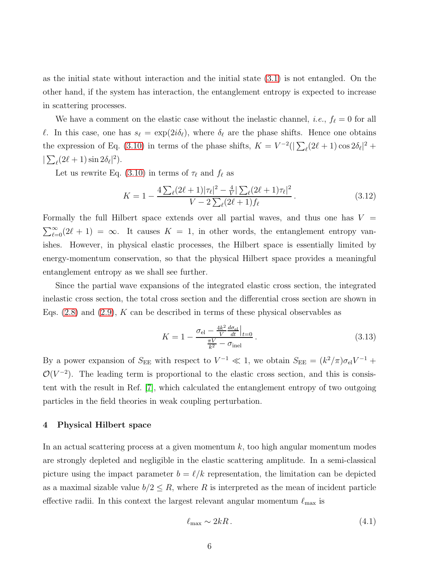as the initial state without interaction and the initial state [\(3.1\)](#page-4-1) is not entangled. On the other hand, if the system has interaction, the entanglement entropy is expected to increase in scattering processes.

We have a comment on the elastic case without the inelastic channel, *i.e.*,  $f_{\ell} = 0$  for all l. In this case, one has  $s_{\ell} = \exp(2i\delta_{\ell})$ , where  $\delta_{\ell}$  are the phase shifts. Hence one obtains the expression of Eq. [\(3.10\)](#page-5-4) in terms of the phase shifts,  $K = V^{-2}(|\sum_{\ell} (2\ell + 1) \cos 2\delta_{\ell}|^2 +$  $|\sum_{\ell} (2\ell+1) \sin 2\delta_{\ell}|^2$ .

Let us rewrite Eq. [\(3.10\)](#page-5-4) in terms of  $\tau_{\ell}$  and  $f_{\ell}$  as

<span id="page-6-2"></span>
$$
K = 1 - \frac{4\sum_{\ell} (2\ell + 1)|\tau_{\ell}|^2 - \frac{4}{V}|\sum_{\ell} (2\ell + 1)\tau_{\ell}|^2}{V - 2\sum_{\ell} (2\ell + 1)f_{\ell}}.
$$
\n(3.12)

Formally the full Hilbert space extends over all partial waves, and thus one has  $V =$  $\sum_{\ell=0}^{\infty} (2\ell+1) = \infty$ . It causes  $K = 1$ , in other words, the entanglement entropy vanishes. However, in physical elastic processes, the Hilbert space is essentially limited by energy-momentum conservation, so that the physical Hilbert space provides a meaningful entanglement entropy as we shall see further.

Since the partial wave expansions of the integrated elastic cross section, the integrated inelastic cross section, the total cross section and the differential cross section are shown in Eqs.  $(2.8)$  and  $(2.9)$ , K can be described in terms of these physical observables as

<span id="page-6-1"></span>
$$
K = 1 - \frac{\sigma_{\rm el} - \frac{4k^2}{V} \frac{d\sigma_{\rm el}}{dt} \Big|_{t=0}}{\frac{\pi V}{k^2} - \sigma_{\rm inel}}.
$$
\n(3.13)

By a power expansion of  $S_{\text{EE}}$  with respect to  $V^{-1} \ll 1$ , we obtain  $S_{\text{EE}} = (k^2/\pi)\sigma_{\text{el}}V^{-1}$  +  $\mathcal{O}(V^{-2})$ . The leading term is proportional to the elastic cross section, and this is consistent with the result in Ref. [\[7\]](#page-9-6), which calculated the entanglement entropy of two outgoing particles in the field theories in weak coupling perturbation.

## 4 Physical Hilbert space

In an actual scattering process at a given momentum  $k$ , too high angular momentum modes are strongly depleted and negligible in the elastic scattering amplitude. In a semi-classical picture using the impact parameter  $b = \ell/k$  representation, the limitation can be depicted as a maximal sizable value  $b/2 \leq R$ , where R is interpreted as the mean of incident particle effective radii. In this context the largest relevant angular momentum  $\ell_{\text{max}}$  is

<span id="page-6-0"></span>
$$
\ell_{\text{max}} \sim 2kR. \tag{4.1}
$$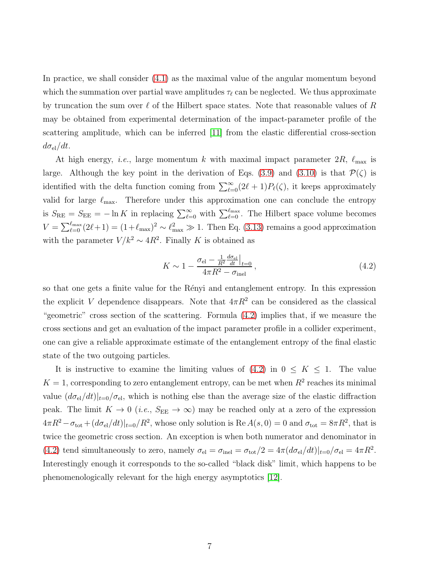In practice, we shall consider [\(4.1\)](#page-6-0) as the maximal value of the angular momentum beyond which the summation over partial wave amplitudes  $\tau_{\ell}$  can be neglected. We thus approximate by truncation the sum over  $\ell$  of the Hilbert space states. Note that reasonable values of R may be obtained from experimental determination of the impact-parameter profile of the scattering amplitude, which can be inferred [\[11\]](#page-10-2) from the elastic differential cross-section  $d\sigma_{\rm el}/dt$ .

At high energy, *i.e.*, large momentum k with maximal impact parameter  $2R$ ,  $\ell_{\text{max}}$  is large. Although the key point in the derivation of Eqs. [\(3.9\)](#page-5-3) and [\(3.10\)](#page-5-4) is that  $\mathcal{P}(\zeta)$  is identified with the delta function coming from  $\sum_{\ell=0}^{\infty} (2\ell+1) P_{\ell}(\zeta)$ , it keeps approximately valid for large  $\ell_{\text{max}}$ . Therefore under this approximation one can conclude the entropy is  $S_{\text{RE}} = S_{\text{EE}} = -\ln K$  in replacing  $\sum_{\ell=0}^{\infty}$  with  $\sum_{\ell=0}^{\ell_{\text{max}}}$ . The Hilbert space volume becomes  $V = \sum_{\ell=0}^{\ell_{\text{max}}} (2\ell+1) = (1+\ell_{\text{max}})^2 \sim \ell_{\text{max}}^2 \gg 1$ . Then Eq. [\(3.13\)](#page-6-1) remains a good approximation with the parameter  $V/k^2 \sim 4R^2$ . Finally K is obtained as

<span id="page-7-0"></span>
$$
K \sim 1 - \frac{\sigma_{\rm el} - \frac{1}{R^2} \frac{d\sigma_{\rm el}}{dt} \Big|_{t=0}}{4\pi R^2 - \sigma_{\rm inel}},
$$
\n(4.2)

so that one gets a finite value for the Rényi and entanglement entropy. In this expression the explicit V dependence disappears. Note that  $4\pi R^2$  can be considered as the classical "geometric" cross section of the scattering. Formula [\(4.2\)](#page-7-0) implies that, if we measure the cross sections and get an evaluation of the impact parameter profile in a collider experiment, one can give a reliable approximate estimate of the entanglement entropy of the final elastic state of the two outgoing particles.

It is instructive to examine the limiting values of  $(4.2)$  in  $0 \leq K \leq 1$ . The value  $K = 1$ , corresponding to zero entanglement entropy, can be met when  $R<sup>2</sup>$  reaches its minimal value  $(d\sigma_{el}/dt)|_{t=0}/\sigma_{el}$ , which is nothing else than the average size of the elastic diffraction peak. The limit  $K \to 0$  (*i.e.*,  $S_{\text{EE}} \to \infty$ ) may be reached only at a zero of the expression  $4\pi R^2 - \sigma_{\text{tot}} + (d\sigma_{\text{el}}/dt)|_{t=0}/R^2$ , whose only solution is  $\text{Re } A(s, 0) = 0$  and  $\sigma_{\text{tot}} = 8\pi R^2$ , that is twice the geometric cross section. An exception is when both numerator and denominator in [\(4.2\)](#page-7-0) tend simultaneously to zero, namely  $\sigma_{\rm el} = \sigma_{\rm inel} = \sigma_{\rm tot}/2 = 4\pi (d\sigma_{\rm el}/dt)|_{t=0}/\sigma_{\rm el} = 4\pi R^2$ . Interestingly enough it corresponds to the so-called "black disk" limit, which happens to be phenomenologically relevant for the high energy asymptotics [\[12\]](#page-10-3).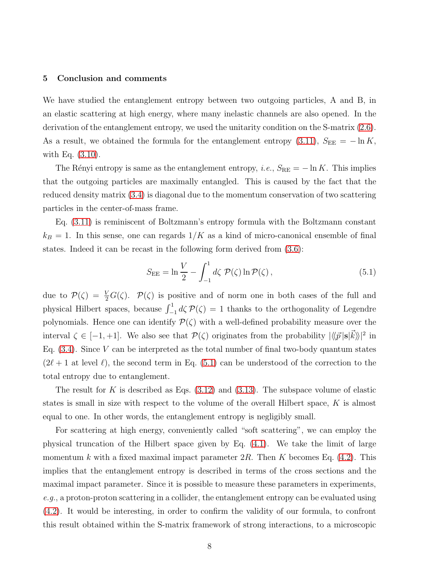#### 5 Conclusion and comments

We have studied the entanglement entropy between two outgoing particles, A and B, in an elastic scattering at high energy, where many inelastic channels are also opened. In the derivation of the entanglement entropy, we used the unitarity condition on the S-matrix [\(2.6\)](#page-3-1). As a result, we obtained the formula for the entanglement entropy [\(3.11\)](#page-5-5),  $S_{\text{EE}} = -\ln K$ , with Eq. [\(3.10\)](#page-5-4).

The Rényi entropy is same as the entanglement entropy, i.e.,  $S_{\text{RE}} = -\ln K$ . This implies that the outgoing particles are maximally entangled. This is caused by the fact that the reduced density matrix [\(3.4\)](#page-4-0) is diagonal due to the momentum conservation of two scattering particles in the center-of-mass frame.

Eq. [\(3.11\)](#page-5-5) is reminiscent of Boltzmann's entropy formula with the Boltzmann constant  $k_B = 1$ . In this sense, one can regards  $1/K$  as a kind of micro-canonical ensemble of final states. Indeed it can be recast in the following form derived from [\(3.6\)](#page-5-2):

<span id="page-8-0"></span>
$$
S_{\rm EE} = \ln \frac{V}{2} - \int_{-1}^{1} d\zeta \ \mathcal{P}(\zeta) \ln \mathcal{P}(\zeta) \,, \tag{5.1}
$$

due to  $\mathcal{P}(\zeta) = \frac{V}{2}G(\zeta)$ .  $\mathcal{P}(\zeta)$  is positive and of norm one in both cases of the full and physical Hilbert spaces, because  $\int_{-1}^{1} d\zeta \mathcal{P}(\zeta) = 1$  thanks to the orthogonality of Legendre polynomials. Hence one can identify  $\mathcal{P}(\zeta)$  with a well-defined probability measure over the interval  $\zeta \in [-1, +1]$ . We also see that  $\mathcal{P}(\zeta)$  originates from the probability  $|\langle \langle \vec{p} | s | \vec{k} \rangle \rangle|^2$  in Eq.  $(3.4)$ . Since V can be interpreted as the total number of final two-body quantum states  $(2\ell+1$  at level  $\ell$ ), the second term in Eq. [\(5.1\)](#page-8-0) can be understood of the correction to the total entropy due to entanglement.

The result for K is described as Eqs.  $(3.12)$  and  $(3.13)$ . The subspace volume of elastic states is small in size with respect to the volume of the overall Hilbert space,  $K$  is almost equal to one. In other words, the entanglement entropy is negligibly small.

For scattering at high energy, conveniently called "soft scattering", we can employ the physical truncation of the Hilbert space given by Eq. [\(4.1\)](#page-6-0). We take the limit of large momentum k with a fixed maximal impact parameter  $2R$ . Then K becomes Eq. [\(4.2\)](#page-7-0). This implies that the entanglement entropy is described in terms of the cross sections and the maximal impact parameter. Since it is possible to measure these parameters in experiments,  $e.g.,$  a proton-proton scattering in a collider, the entanglement entropy can be evaluated using [\(4.2\)](#page-7-0). It would be interesting, in order to confirm the validity of our formula, to confront this result obtained within the S-matrix framework of strong interactions, to a microscopic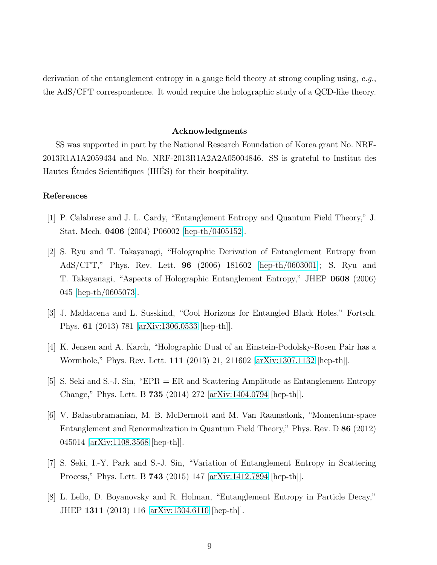derivation of the entanglement entropy in a gauge field theory at strong coupling using, e.g., the AdS/CFT correspondence. It would require the holographic study of a QCD-like theory.

### Acknowledgments

SS was supported in part by the National Research Foundation of Korea grant No. NRF-2013R1A1A2059434 and No. NRF-2013R1A2A2A05004846. SS is grateful to Institut des Hautes Études Scientifiques (IHÉS) for their hospitality.

## <span id="page-9-0"></span>References

- <span id="page-9-1"></span>[1] P. Calabrese and J. L. Cardy, "Entanglement Entropy and Quantum Field Theory," J. Stat. Mech. 0406 (2004) P06002 [\[hep-th/0405152\]](http://arxiv.org/abs/hep-th/0405152).
- [2] S. Ryu and T. Takayanagi, "Holographic Derivation of Entanglement Entropy from AdS/CFT," Phys. Rev. Lett. 96 (2006) 181602 [\[hep-th/0603001\]](http://arxiv.org/abs/hep-th/0603001); S. Ryu and T. Takayanagi, "Aspects of Holographic Entanglement Entropy," JHEP 0608 (2006) 045 [\[hep-th/0605073\]](http://arxiv.org/abs/hep-th/0605073).
- <span id="page-9-3"></span><span id="page-9-2"></span>[3] J. Maldacena and L. Susskind, "Cool Horizons for Entangled Black Holes," Fortsch. Phys. 61 (2013) 781 [\[arXiv:1306.0533](http://arxiv.org/abs/1306.0533) [hep-th]].
- <span id="page-9-4"></span>[4] K. Jensen and A. Karch, "Holographic Dual of an Einstein-Podolsky-Rosen Pair has a Wormhole," Phys. Rev. Lett. 111 (2013) 21, 211602 [\[arXiv:1307.1132](http://arxiv.org/abs/1307.1132) [hep-th]].
- <span id="page-9-5"></span>[5] S. Seki and S.-J. Sin, "EPR = ER and Scattering Amplitude as Entanglement Entropy Change," Phys. Lett. B 735 (2014) 272 [\[arXiv:1404.0794](http://arxiv.org/abs/1404.0794) [hep-th]].
- [6] V. Balasubramanian, M. B. McDermott and M. Van Raamsdonk, "Momentum-space Entanglement and Renormalization in Quantum Field Theory," Phys. Rev. D 86 (2012) 045014 [\[arXiv:1108.3568](http://arxiv.org/abs/1108.3568) [hep-th]].
- <span id="page-9-7"></span><span id="page-9-6"></span>[7] S. Seki, I.-Y. Park and S.-J. Sin, "Variation of Entanglement Entropy in Scattering Process," Phys. Lett. B 743 (2015) 147 [\[arXiv:1412.7894](http://arxiv.org/abs/1412.7894) [hep-th]].
- [8] L. Lello, D. Boyanovsky and R. Holman, "Entanglement Entropy in Particle Decay," JHEP 1311 (2013) 116 [\[arXiv:1304.6110](http://arxiv.org/abs/1304.6110) [hep-th]].